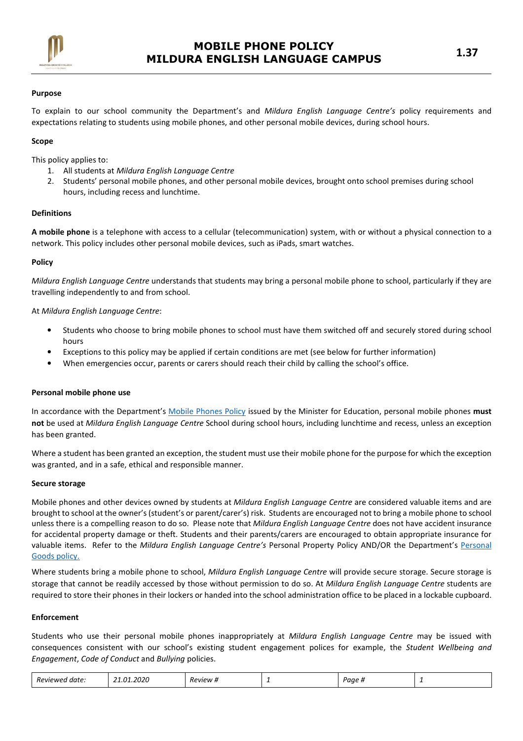

## Purpose

To explain to our school community the Department's and Mildura English Language Centre's policy requirements and expectations relating to students using mobile phones, and other personal mobile devices, during school hours.

## Scope

This policy applies to:

- 1. All students at Mildura English Language Centre
- 2. Students' personal mobile phones, and other personal mobile devices, brought onto school premises during school hours, including recess and lunchtime.

## Definitions

A mobile phone is a telephone with access to a cellular (telecommunication) system, with or without a physical connection to a network. This policy includes other personal mobile devices, such as iPads, smart watches.

#### Policy

Mildura English Language Centre understands that students may bring a personal mobile phone to school, particularly if they are travelling independently to and from school.

## At Mildura English Language Centre:

- Students who choose to bring mobile phones to school must have them switched off and securely stored during school hours
- Exceptions to this policy may be applied if certain conditions are met (see below for further information)
- When emergencies occur, parents or carers should reach their child by calling the school's office.

## Personal mobile phone use

In accordance with the Department's Mobile Phones Policy issued by the Minister for Education, personal mobile phones must not be used at Mildura English Language Centre School during school hours, including lunchtime and recess, unless an exception has been granted.

Where a student has been granted an exception, the student must use their mobile phone for the purpose for which the exception was granted, and in a safe, ethical and responsible manner.

#### Secure storage

Mobile phones and other devices owned by students at Mildura English Language Centre are considered valuable items and are brought to school at the owner's (student's or parent/carer's) risk. Students are encouraged not to bring a mobile phone to school unless there is a compelling reason to do so. Please note that Mildura English Language Centre does not have accident insurance for accidental property damage or theft. Students and their parents/carers are encouraged to obtain appropriate insurance for valuable items. Refer to the Mildura English Language Centre's Personal Property Policy AND/OR the Department's Personal Goods policy.

Where students bring a mobile phone to school, Mildura English Language Centre will provide secure storage. Secure storage is storage that cannot be readily accessed by those without permission to do so. At Mildura English Language Centre students are required to store their phones in their lockers or handed into the school administration office to be placed in a lockable cupboard.

## Enforcement

Students who use their personal mobile phones inappropriately at Mildura English Language Centre may be issued with consequences consistent with our school's existing student engagement polices for example, the Student Wellbeing and Engagement, Code of Conduct and Bullying policies.

| 1.2020<br>$\Omega$<br><u>ва</u><br>-<br>Paae.<br>Reviewe<br>date.<br>Review #<br>- |  |
|------------------------------------------------------------------------------------|--|
|------------------------------------------------------------------------------------|--|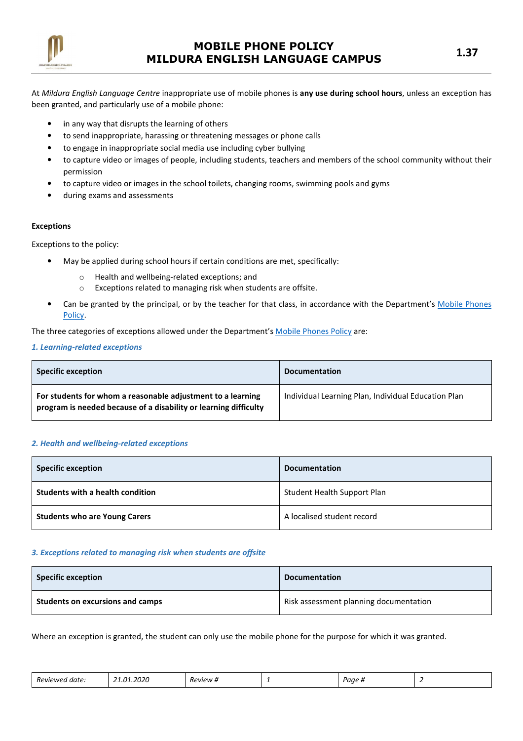

At Mildura English Language Centre inappropriate use of mobile phones is any use during school hours, unless an exception has been granted, and particularly use of a mobile phone:

- in any way that disrupts the learning of others
- to send inappropriate, harassing or threatening messages or phone calls
- to engage in inappropriate social media use including cyber bullying
- to capture video or images of people, including students, teachers and members of the school community without their permission
- to capture video or images in the school toilets, changing rooms, swimming pools and gyms
- during exams and assessments

## Exceptions

Exceptions to the policy:

- May be applied during school hours if certain conditions are met, specifically:
	- o Health and wellbeing-related exceptions; and
	- o Exceptions related to managing risk when students are offsite.
- Can be granted by the principal, or by the teacher for that class, in accordance with the Department's Mobile Phones Policy.

The three categories of exceptions allowed under the Department's Mobile Phones Policy are:

## 1. Learning-related exceptions

| <b>Specific exception</b>                                                                                                       | <b>Documentation</b>                                |
|---------------------------------------------------------------------------------------------------------------------------------|-----------------------------------------------------|
| For students for whom a reasonable adjustment to a learning<br>program is needed because of a disability or learning difficulty | Individual Learning Plan, Individual Education Plan |

## 2. Health and wellbeing-related exceptions

| <b>Specific exception</b>            | <b>Documentation</b>        |
|--------------------------------------|-----------------------------|
| Students with a health condition     | Student Health Support Plan |
| <b>Students who are Young Carers</b> | A localised student record  |

## 3. Exceptions related to managing risk when students are offsite

| <b>Specific exception</b>        | <b>Documentation</b>                   |
|----------------------------------|----------------------------------------|
| Students on excursions and camps | Risk assessment planning documentation |

Where an exception is granted, the student can only use the mobile phone for the purpose for which it was granted.

| -<br>Reviewer<br>"PVIPW.<br>date<br>$\overline{u}$<br>aae<br><br>-<br>. |  |
|-------------------------------------------------------------------------|--|
|-------------------------------------------------------------------------|--|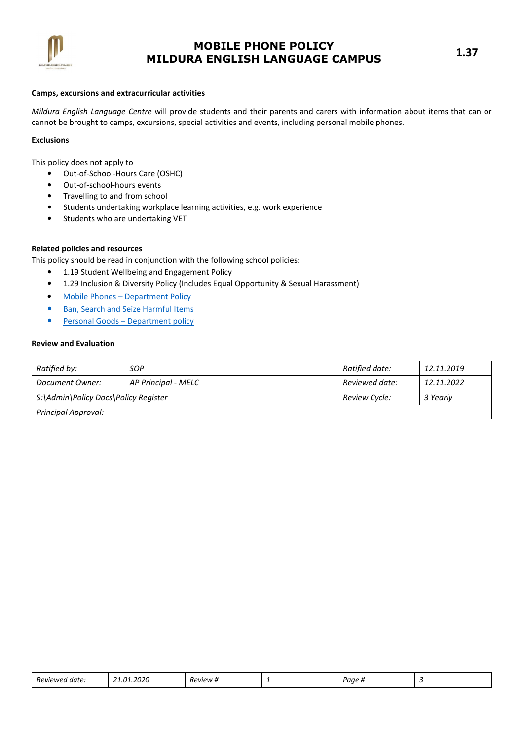

#### Camps, excursions and extracurricular activities

Mildura English Language Centre will provide students and their parents and carers with information about items that can or cannot be brought to camps, excursions, special activities and events, including personal mobile phones.

#### Exclusions

This policy does not apply to

- Out-of-School-Hours Care (OSHC)
- Out-of-school-hours events
- Travelling to and from school
- Students undertaking workplace learning activities, e.g. work experience
- Students who are undertaking VET

# Related policies and resources

This policy should be read in conjunction with the following school policies:

- 1.19 Student Wellbeing and Engagement Policy
- 1.29 Inclusion & Diversity Policy (Includes Equal Opportunity & Sexual Harassment)
- Mobile Phones Department Policy
- Ban, Search and Seize Harmful Items
- Personal Goods Department policy

# Review and Evaluation

| Ratified by:                         | <b>SOP</b>          | Ratified date: | 12.11.2019 |
|--------------------------------------|---------------------|----------------|------------|
| Document Owner:                      | AP Principal - MELC | Reviewed date: | 12.11.2022 |
| S:\Admin\Policy Docs\Policy Register |                     | Review Cycle:  | 3 Yearly   |
| <b>Principal Approval:</b>           |                     |                |            |

| 2020<br>רח<br>-<br>Reviewed<br>, date ' | <i>P</i> eview #<br>. . | - | Page <sub>h</sub> |  |  |
|-----------------------------------------|-------------------------|---|-------------------|--|--|
|-----------------------------------------|-------------------------|---|-------------------|--|--|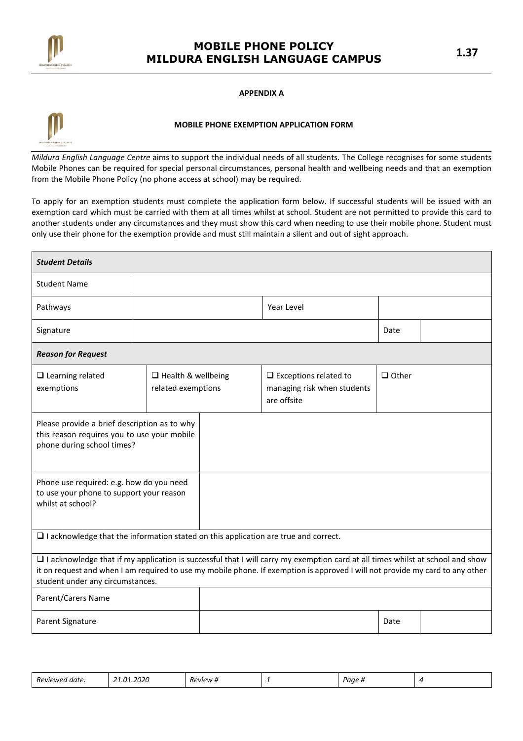

#### APPENDIX A



## MOBILE PHONE EXEMPTION APPLICATION FORM

Mildura English Language Centre aims to support the individual needs of all students. The College recognises for some students Mobile Phones can be required for special personal circumstances, personal health and wellbeing needs and that an exemption from the Mobile Phone Policy (no phone access at school) may be required.

To apply for an exemption students must complete the application form below. If successful students will be issued with an exemption card which must be carried with them at all times whilst at school. Student are not permitted to provide this card to another students under any circumstances and they must show this card when needing to use their mobile phone. Student must only use their phone for the exemption provide and must still maintain a silent and out of sight approach.

| <b>Student Details</b>                                                                                                    |                                                 |                                                                                                                                                                                                                                                                  |              |  |
|---------------------------------------------------------------------------------------------------------------------------|-------------------------------------------------|------------------------------------------------------------------------------------------------------------------------------------------------------------------------------------------------------------------------------------------------------------------|--------------|--|
| <b>Student Name</b>                                                                                                       |                                                 |                                                                                                                                                                                                                                                                  |              |  |
| Pathways                                                                                                                  |                                                 | Year Level                                                                                                                                                                                                                                                       |              |  |
| Signature                                                                                                                 |                                                 |                                                                                                                                                                                                                                                                  | Date         |  |
| <b>Reason for Request</b>                                                                                                 |                                                 |                                                                                                                                                                                                                                                                  |              |  |
| $\Box$ Learning related<br>exemptions                                                                                     | $\Box$ Health & wellbeing<br>related exemptions | $\Box$ Exceptions related to<br>managing risk when students<br>are offsite                                                                                                                                                                                       | $\Box$ Other |  |
| Please provide a brief description as to why<br>this reason requires you to use your mobile<br>phone during school times? |                                                 |                                                                                                                                                                                                                                                                  |              |  |
| Phone use required: e.g. how do you need<br>to use your phone to support your reason<br>whilst at school?                 |                                                 |                                                                                                                                                                                                                                                                  |              |  |
| $\Box$ I acknowledge that the information stated on this application are true and correct.                                |                                                 |                                                                                                                                                                                                                                                                  |              |  |
| student under any circumstances.                                                                                          |                                                 | □ I acknowledge that if my application is successful that I will carry my exemption card at all times whilst at school and show<br>it on request and when I am required to use my mobile phone. If exemption is approved I will not provide my card to any other |              |  |
| Parent/Carers Name                                                                                                        |                                                 |                                                                                                                                                                                                                                                                  |              |  |
| Parent Signature                                                                                                          |                                                 |                                                                                                                                                                                                                                                                  | Date         |  |

|  | Reviewec<br>date.<br>.<br>_____ | 020<br>n1<br>,,<br>_____ | 'PVIPW<br>_____ | - | Paae<br>$\sim$ |  |
|--|---------------------------------|--------------------------|-----------------|---|----------------|--|
|--|---------------------------------|--------------------------|-----------------|---|----------------|--|